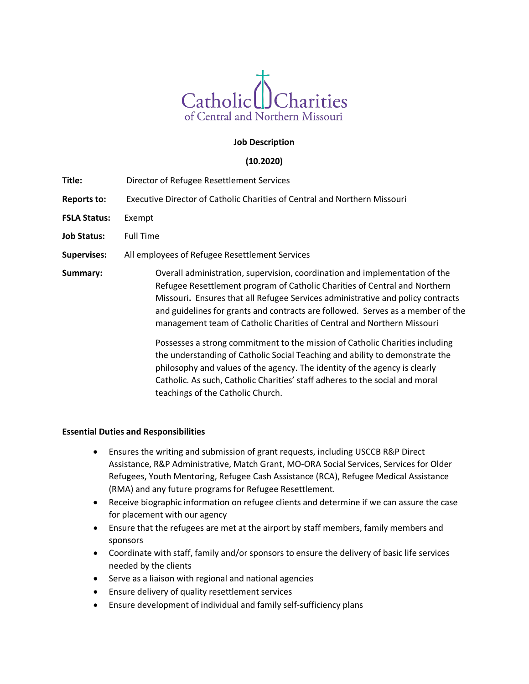

# **Job Description**

# **(10.2020)**

- **Title:** Director of Refugee Resettlement Services
- **Reports to:** Executive Director of Catholic Charities of Central and Northern Missouri
- **FSLA Status:** Exempt
- **Job Status:** Full Time
- **Supervises:** All employees of Refugee Resettlement Services
- **Summary:** Overall administration, supervision, coordination and implementation of the Refugee Resettlement program of Catholic Charities of Central and Northern Missouri**.** Ensures that all Refugee Services administrative and policy contracts and guidelines for grants and contracts are followed. Serves as a member of the management team of Catholic Charities of Central and Northern Missouri

Possesses a strong commitment to the mission of Catholic Charities including the understanding of Catholic Social Teaching and ability to demonstrate the philosophy and values of the agency. The identity of the agency is clearly Catholic. As such, Catholic Charities' staff adheres to the social and moral teachings of the Catholic Church.

## **Essential Duties and Responsibilities**

- Ensures the writing and submission of grant requests, including USCCB R&P Direct Assistance, R&P Administrative, Match Grant, MO-ORA Social Services, Services for Older Refugees, Youth Mentoring, Refugee Cash Assistance (RCA), Refugee Medical Assistance (RMA) and any future programs for Refugee Resettlement.
- Receive biographic information on refugee clients and determine if we can assure the case for placement with our agency
- Ensure that the refugees are met at the airport by staff members, family members and sponsors
- Coordinate with staff, family and/or sponsors to ensure the delivery of basic life services needed by the clients
- Serve as a liaison with regional and national agencies
- Ensure delivery of quality resettlement services
- Ensure development of individual and family self-sufficiency plans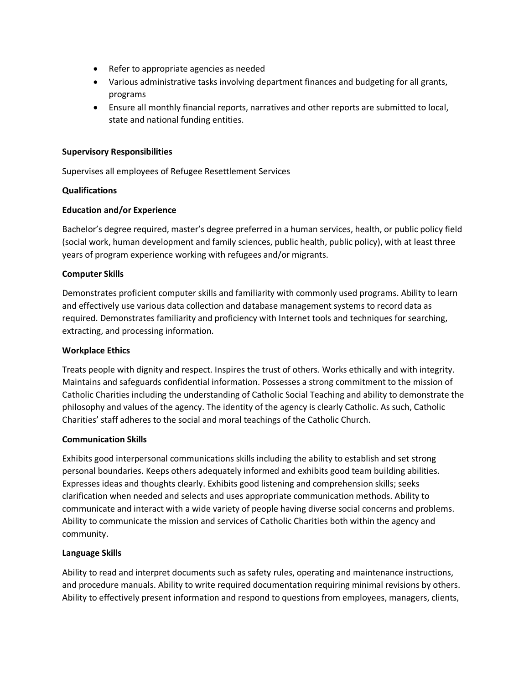- Refer to appropriate agencies as needed
- Various administrative tasks involving department finances and budgeting for all grants, programs
- Ensure all monthly financial reports, narratives and other reports are submitted to local, state and national funding entities.

## **Supervisory Responsibilities**

Supervises all employees of Refugee Resettlement Services

## **Qualifications**

### **Education and/or Experience**

Bachelor's degree required, master's degree preferred in a human services, health, or public policy field (social work, human development and family sciences, public health, public policy), with at least three years of program experience working with refugees and/or migrants.

### **Computer Skills**

Demonstrates proficient computer skills and familiarity with commonly used programs. Ability to learn and effectively use various data collection and database management systems to record data as required. Demonstrates familiarity and proficiency with Internet tools and techniques for searching, extracting, and processing information.

#### **Workplace Ethics**

Treats people with dignity and respect. Inspires the trust of others. Works ethically and with integrity. Maintains and safeguards confidential information. Possesses a strong commitment to the mission of Catholic Charities including the understanding of Catholic Social Teaching and ability to demonstrate the philosophy and values of the agency. The identity of the agency is clearly Catholic. As such, Catholic Charities' staff adheres to the social and moral teachings of the Catholic Church.

#### **Communication Skills**

Exhibits good interpersonal communications skills including the ability to establish and set strong personal boundaries. Keeps others adequately informed and exhibits good team building abilities. Expresses ideas and thoughts clearly. Exhibits good listening and comprehension skills; seeks clarification when needed and selects and uses appropriate communication methods. Ability to communicate and interact with a wide variety of people having diverse social concerns and problems. Ability to communicate the mission and services of Catholic Charities both within the agency and community.

#### **Language Skills**

Ability to read and interpret documents such as safety rules, operating and maintenance instructions, and procedure manuals. Ability to write required documentation requiring minimal revisions by others. Ability to effectively present information and respond to questions from employees, managers, clients,